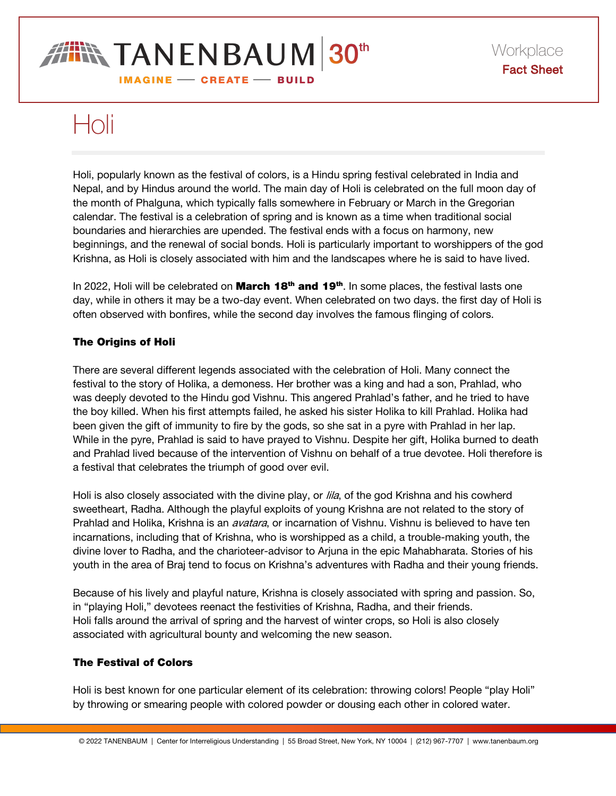# **THIN TANENBAUM 30th IMAGINE - CREATE - BUILD**

# Holi

Holi, popularly known as the festival of colors, is a Hindu spring festival celebrated in India and Nepal, and by Hindus around the world. The main day of Holi is celebrated on the full moon day of the month of Phalguna, which typically falls somewhere in February or March in the Gregorian calendar. The festival is a celebration of spring and is known as a time when traditional social boundaries and hierarchies are upended. The festival ends with a focus on harmony, new beginnings, and the renewal of social bonds. Holi is particularly important to worshippers of the god Krishna, as Holi is closely associated with him and the landscapes where he is said to have lived.

In 2022, Holi will be celebrated on **March 18<sup>th</sup> and 19<sup>th</sup>**. In some places, the festival lasts one day, while in others it may be a two-day event. When celebrated on two days. the first day of Holi is often observed with bonfires, while the second day involves the famous flinging of colors.

### The Origins of Holi

There are several different legends associated with the celebration of Holi. Many connect the festival to the story of Holika, a demoness. Her brother was a king and had a son, Prahlad, who was deeply devoted to the Hindu god Vishnu. This angered Prahlad's father, and he tried to have the boy killed. When his first attempts failed, he asked his sister Holika to kill Prahlad. Holika had been given the gift of immunity to fire by the gods, so she sat in a pyre with Prahlad in her lap. While in the pyre, Prahlad is said to have prayed to Vishnu. Despite her gift, Holika burned to death and Prahlad lived because of the intervention of Vishnu on behalf of a true devotee. Holi therefore is a festival that celebrates the triumph of good over evil.

Holi is also closely associated with the divine play, or *lila*, of the god Krishna and his cowherd sweetheart, Radha. Although the playful exploits of young Krishna are not related to the story of Prahlad and Holika, Krishna is an *avatara*, or incarnation of Vishnu. Vishnu is believed to have ten incarnations, including that of Krishna, who is worshipped as a child, a trouble-making youth, the divine lover to Radha, and the charioteer-advisor to Arjuna in the epic Mahabharata. Stories of his youth in the area of Braj tend to focus on Krishna's adventures with Radha and their young friends.

Because of his lively and playful nature, Krishna is closely associated with spring and passion. So, in "playing Holi," devotees reenact the festivities of Krishna, Radha, and their friends. Holi falls around the arrival of spring and the harvest of winter crops, so Holi is also closely associated with agricultural bounty and welcoming the new season.

## The Festival of Colors

Holi is best known for one particular element of its celebration: throwing colors! People "play Holi" by throwing or smearing people with colored powder or dousing each other in colored water.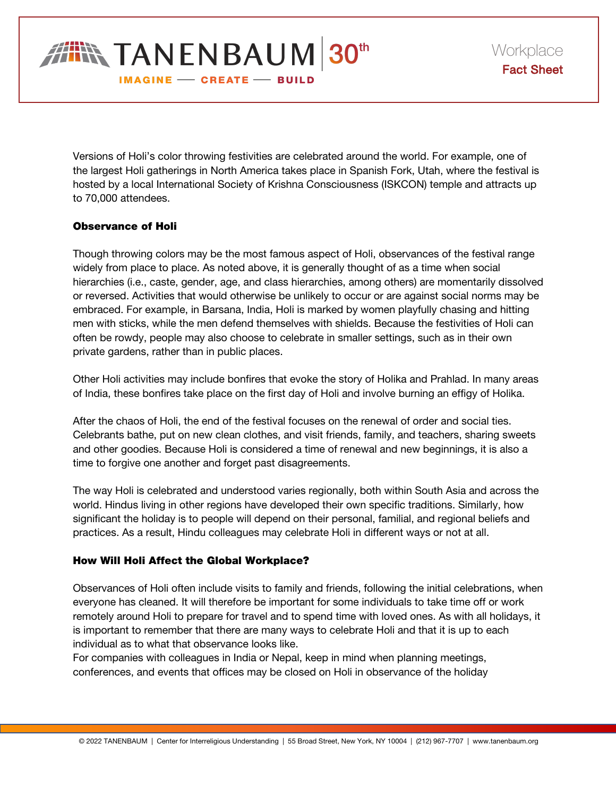

Versions of Holi's color throwing festivities are celebrated around the world. For example, one of the largest Holi gatherings in North America takes place in Spanish Fork, Utah, where the festival is hosted by a local International Society of Krishna Consciousness (ISKCON) temple and attracts up to 70,000 attendees.

#### Observance of Holi

Though throwing colors may be the most famous aspect of Holi, observances of the festival range widely from place to place. As noted above, it is generally thought of as a time when social hierarchies (i.e., caste, gender, age, and class hierarchies, among others) are momentarily dissolved or reversed. Activities that would otherwise be unlikely to occur or are against social norms may be embraced. For example, in Barsana, India, Holi is marked by women playfully chasing and hitting men with sticks, while the men defend themselves with shields. Because the festivities of Holi can often be rowdy, people may also choose to celebrate in smaller settings, such as in their own private gardens, rather than in public places.

Other Holi activities may include bonfires that evoke the story of Holika and Prahlad. In many areas of India, these bonfires take place on the first day of Holi and involve burning an effigy of Holika.

After the chaos of Holi, the end of the festival focuses on the renewal of order and social ties. Celebrants bathe, put on new clean clothes, and visit friends, family, and teachers, sharing sweets and other goodies. Because Holi is considered a time of renewal and new beginnings, it is also a time to forgive one another and forget past disagreements.

The way Holi is celebrated and understood varies regionally, both within South Asia and across the world. Hindus living in other regions have developed their own specific traditions. Similarly, how significant the holiday is to people will depend on their personal, familial, and regional beliefs and practices. As a result, Hindu colleagues may celebrate Holi in different ways or not at all.

#### How Will Holi Affect the Global Workplace?

Observances of Holi often include visits to family and friends, following the initial celebrations, when everyone has cleaned. It will therefore be important for some individuals to take time off or work remotely around Holi to prepare for travel and to spend time with loved ones. As with all holidays, it is important to remember that there are many ways to celebrate Holi and that it is up to each individual as to what that observance looks like.

For companies with colleagues in India or Nepal, keep in mind when planning meetings, conferences, and events that offices may be closed on Holi in observance of the holiday